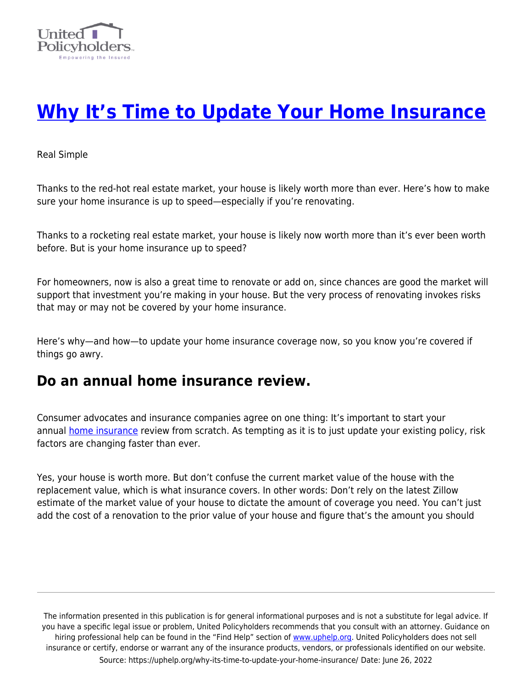

# **[Why It's Time to Update Your Home Insurance](https://uphelp.org/why-its-time-to-update-your-home-insurance/)**

Real Simple

Thanks to the red-hot real estate market, your house is likely worth more than ever. Here's how to make sure your home insurance is up to speed—especially if you're renovating.

Thanks to a rocketing real estate market, your house is likely now worth more than it's ever been worth before. But is your home insurance up to speed?

For homeowners, now is also a great time to renovate or add on, since chances are good the market will support that investment you're making in your house. But the very process of renovating invokes risks that may or may not be covered by your home insurance.

Here's why—and how—to update your home insurance coverage now, so you know you're covered if things go awry.

### **Do an annual home insurance review.**

Consumer advocates and insurance companies agree on one thing: It's important to start your annual [home insurance](https://www.realsimple.com/work-life/money/millie/one-thing-you-can-do-right-now-to-easily-save-1000-in-2021) review from scratch. As tempting as it is to just update your existing policy, risk factors are changing faster than ever.

Yes, your house is worth more. But don't confuse the current market value of the house with the replacement value, which is what insurance covers. In other words: Don't rely on the latest Zillow estimate of the market value of your house to dictate the amount of coverage you need. You can't just add the cost of a renovation to the prior value of your house and figure that's the amount you should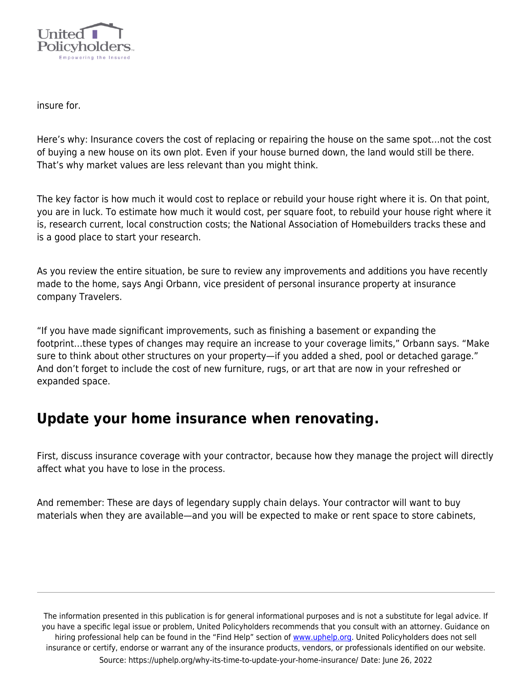

insure for.

Here's why: Insurance covers the cost of replacing or repairing the house on the same spot…not the cost of buying a new house on its own plot. Even if your house burned down, the land would still be there. That's why market values are less relevant than you might think.

The key factor is how much it would cost to replace or rebuild your house right where it is. On that point, you are in luck. To estimate how much it would cost, per square foot, to rebuild your house right where it is, research current, local construction costs; the National Association of Homebuilders tracks these and is a good place to start your research.

As you review the entire situation, be sure to review any improvements and additions you have recently made to the home, says Angi Orbann, vice president of personal insurance property at insurance company Travelers.

"If you have made significant improvements, such as finishing a basement or expanding the footprint…these types of changes may require an increase to your coverage limits," Orbann says. "Make sure to think about other structures on your property—if you added a shed, pool or detached garage." And don't forget to include the cost of new furniture, rugs, or art that are now in your refreshed or expanded space.

## **Update your home insurance when renovating.**

First, discuss insurance coverage with your contractor, because how they manage the project will directly affect what you have to lose in the process.

And remember: These are days of legendary supply chain delays. Your contractor will want to buy materials when they are available—and you will be expected to make or rent space to store cabinets,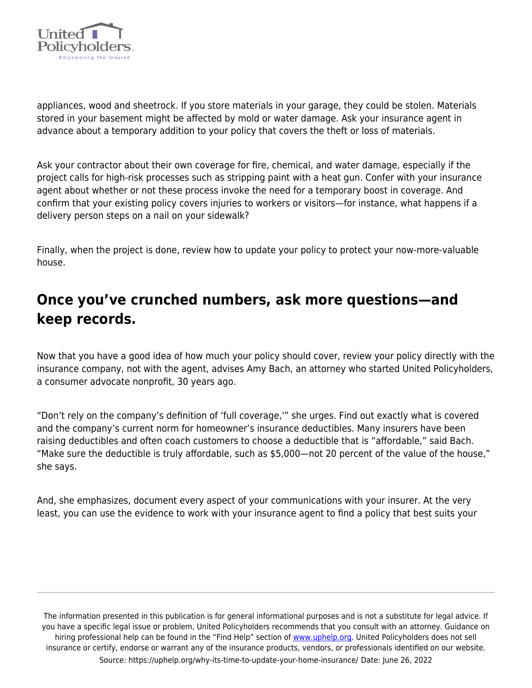

appliances, wood and sheetrock. If you store materials in your garage, they could be stolen. Materials stored in your basement might be affected by mold or water damage. Ask your insurance agent in advance about a temporary addition to your policy that covers the theft or loss of materials.

Ask your contractor about their own coverage for fire, chemical, and water damage, especially if the project calls for high-risk processes such as stripping paint with a heat gun. Confer with your insurance agent about whether or not these process invoke the need for a temporary boost in coverage. And confirm that your existing policy covers injuries to workers or visitors—for instance, what happens if a delivery person steps on a nail on your sidewalk?

Finally, when the project is done, review how to update your policy to protect your now-more-valuable house.

## **Once you've crunched numbers, ask more questions—and keep records.**

Now that you have a good idea of how much your policy should cover, review your policy directly with the insurance company, not with the agent, advises Amy Bach, an attorney who started United Policyholders, a consumer advocate nonprofit, 30 years ago.

"Don't rely on the company's definition of 'full coverage,'" she urges. Find out exactly what is covered and the company's current norm for homeowner's insurance deductibles. Many insurers have been raising deductibles and often coach customers to choose a deductible that is "affordable," said Bach. "Make sure the deductible is truly affordable, such as \$5,000—not 20 percent of the value of the house," she says.

And, she emphasizes, document every aspect of your communications with your insurer. At the very least, you can use the evidence to work with your insurance agent to find a policy that best suits your